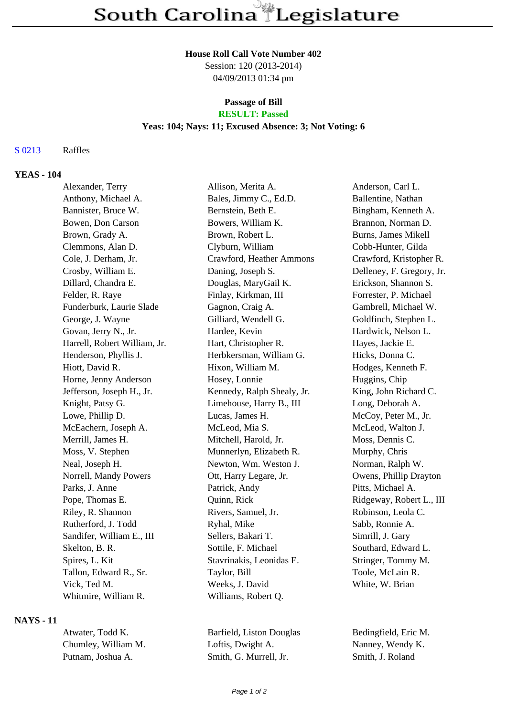#### **House Roll Call Vote Number 402**

Session: 120 (2013-2014) 04/09/2013 01:34 pm

# **Passage of Bill**

# **RESULT: Passed**

# **Yeas: 104; Nays: 11; Excused Absence: 3; Not Voting: 6**

### S 0213 Raffles

### **YEAS - 104**

| Alexander, Terry             | Allison, Merita A.         | Anderson, Carl L.         |
|------------------------------|----------------------------|---------------------------|
| Anthony, Michael A.          | Bales, Jimmy C., Ed.D.     | Ballentine, Nathan        |
| Bannister, Bruce W.          | Bernstein, Beth E.         | Bingham, Kenneth A.       |
| Bowen, Don Carson            | Bowers, William K.         | Brannon, Norman D.        |
| Brown, Grady A.              | Brown, Robert L.           | Burns, James Mikell       |
| Clemmons, Alan D.            | Clyburn, William           | Cobb-Hunter, Gilda        |
| Cole, J. Derham, Jr.         | Crawford, Heather Ammons   | Crawford, Kristopher R.   |
| Crosby, William E.           | Daning, Joseph S.          | Delleney, F. Gregory, Jr. |
| Dillard, Chandra E.          | Douglas, MaryGail K.       | Erickson, Shannon S.      |
| Felder, R. Raye              | Finlay, Kirkman, III       | Forrester, P. Michael     |
| Funderburk, Laurie Slade     | Gagnon, Craig A.           | Gambrell, Michael W.      |
| George, J. Wayne             | Gilliard, Wendell G.       | Goldfinch, Stephen L.     |
| Govan, Jerry N., Jr.         | Hardee, Kevin              | Hardwick, Nelson L.       |
| Harrell, Robert William, Jr. | Hart, Christopher R.       | Hayes, Jackie E.          |
| Henderson, Phyllis J.        | Herbkersman, William G.    | Hicks, Donna C.           |
| Hiott, David R.              | Hixon, William M.          | Hodges, Kenneth F.        |
| Horne, Jenny Anderson        | Hosey, Lonnie              | Huggins, Chip             |
| Jefferson, Joseph H., Jr.    | Kennedy, Ralph Shealy, Jr. | King, John Richard C.     |
| Knight, Patsy G.             | Limehouse, Harry B., III   | Long, Deborah A.          |
| Lowe, Phillip D.             | Lucas, James H.            | McCoy, Peter M., Jr.      |
| McEachern, Joseph A.         | McLeod, Mia S.             | McLeod, Walton J.         |
| Merrill, James H.            | Mitchell, Harold, Jr.      | Moss, Dennis C.           |
| Moss, V. Stephen             | Munnerlyn, Elizabeth R.    | Murphy, Chris             |
| Neal, Joseph H.              | Newton, Wm. Weston J.      | Norman, Ralph W.          |
| Norrell, Mandy Powers        | Ott, Harry Legare, Jr.     | Owens, Phillip Drayton    |
| Parks, J. Anne               | Patrick, Andy              | Pitts, Michael A.         |
| Pope, Thomas E.              | Quinn, Rick                | Ridgeway, Robert L., III  |
| Riley, R. Shannon            | Rivers, Samuel, Jr.        | Robinson, Leola C.        |
| Rutherford, J. Todd          | Ryhal, Mike                | Sabb, Ronnie A.           |
| Sandifer, William E., III    | Sellers, Bakari T.         | Simrill, J. Gary          |
| Skelton, B. R.               | Sottile, F. Michael        | Southard, Edward L.       |
| Spires, L. Kit               | Stavrinakis, Leonidas E.   | Stringer, Tommy M.        |
| Tallon, Edward R., Sr.       | Taylor, Bill               | Toole, McLain R.          |
| Vick, Ted M.                 | Weeks, J. David            | White, W. Brian           |
| Whitmire, William R.         | Williams, Robert Q.        |                           |

# **NAYS - 11**

| Atwater, Todd K.    | Barfield, Listor |
|---------------------|------------------|
| Chumley, William M. | Loftis, Dwight   |
| Putnam. Joshua A.   | Smith, G. Mur.   |

At M. Bedingfield, Eric M. A. Nanney, Wendy K. Putnam, J. Roland